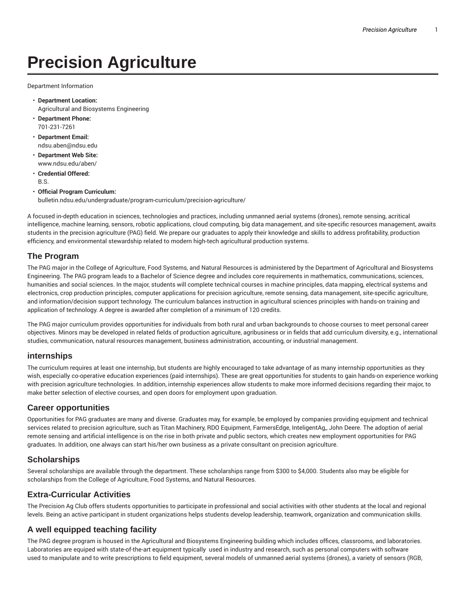# **Precision Agriculture**

Department Information

- **Department Location:** Agricultural and Biosystems Engineering
- **Department Phone:** 701-231-7261
- **Department Email:** ndsu.aben@ndsu.edu
- **Department Web Site:** www.ndsu.edu/aben/
- **Credential Offered:** B.S.
- **Official Program Curriculum:** bulletin.ndsu.edu/undergraduate/program-curriculum/precision-agriculture/

A focused in-depth education in sciences, technologies and practices, including unmanned aerial systems (drones), remote sensing, acritical intelligence, machine learning, sensors, robotic applications, cloud computing, big data management, and site-specific resources management, awaits students in the precision agriculture (PAG) field. We prepare our graduates to apply their knowledge and skills to address profitability, production efficiency, and environmental stewardship related to modern high-tech agricultural production systems.

# **The Program**

The PAG major in the College of Agriculture, Food Systems, and Natural Resources is administered by the Department of Agricultural and Biosystems Engineering. The PAG program leads to a Bachelor of Science degree and includes core requirements in mathematics, communications, sciences, humanities and social sciences. In the major, students will complete technical courses in machine principles, data mapping, electrical systems and electronics, crop production principles, computer applications for precision agriculture, remote sensing, data management, site-specific agriculture, and information/decision support technology. The curriculum balances instruction in agricultural sciences principles with hands-on training and application of technology. A degree is awarded after completion of a minimum of 120 credits.

The PAG major curriculum provides opportunities for individuals from both rural and urban backgrounds to choose courses to meet personal career objectives. Minors may be developed in related fields of production agriculture, agribusiness or in fields that add curriculum diversity, e.g., international studies, communication, natural resources management, business administration, accounting, or industrial management.

### **internships**

The curriculum requires at least one internship, but students are highly encouraged to take advantage of as many internship opportunities as they wish, especially co-operative education experiences (paid internships). These are great opportunities for students to gain hands-on experience working with precision agriculture technologies. In addition, internship experiences allow students to make more informed decisions regarding their major, to make better selection of elective courses, and open doors for employment upon graduation.

### **Career opportunities**

Opportunities for PAG graduates are many and diverse. Graduates may, for example, be employed by companies providing equipment and technical services related to precision agriculture, such as Titan Machinery, RDO Equipment, FarmersEdge, InteligentAg,, John Deere. The adoption of aerial remote sensing and artificial intelligence is on the rise in both private and public sectors, which creates new employment opportunities for PAG graduates. In addition, one always can start his/her own business as a private consultant on precision agriculture.

### **Scholarships**

Several scholarships are available through the department. These scholarships range from \$300 to \$4,000. Students also may be eligible for scholarships from the College of Agriculture, Food Systems, and Natural Resources.

# **Extra-Curricular Activities**

The Precision Ag Club offers students opportunities to participate in professional and social activities with other students at the local and regional levels. Being an active participant in student organizations helps students develop leadership, teamwork, organization and communication skills.

# **A well equipped teaching facility**

The PAG degree program is housed in the Agricultural and Biosystems Engineering building which includes offices, classrooms, and laboratories. Laboratories are equiped with state-of-the-art equipment typically used in industry and research, such as personal computers with software used to manipulate and to write prescriptions to field equipment, several models of unmanned aerial systems (drones), a variety of sensors (RGB,